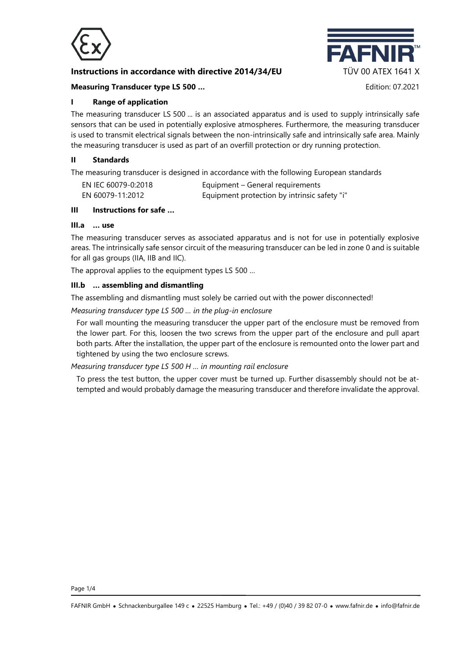

# **Instructions in accordance with directive 2014/34/EU TÜV 00 ATEX 1641 X**



## **Measuring Transducer type LS 500 …** Edition: 07.2021

## **I Range of application**

The measuring transducer LS 500 ... is an associated apparatus and is used to supply intrinsically safe sensors that can be used in potentially explosive atmospheres. Furthermore, the measuring transducer is used to transmit electrical signals between the non-intrinsically safe and intrinsically safe area. Mainly the measuring transducer is used as part of an overfill protection or dry running protection.

#### **II Standards**

The measuring transducer is designed in accordance with the following European standards

| EN IEC 60079-0:2018 | Equipment – General requirements             |
|---------------------|----------------------------------------------|
| EN 60079-11:2012    | Equipment protection by intrinsic safety "i" |

#### **III Instructions for safe …**

#### **III.a … use**

The measuring transducer serves as associated apparatus and is not for use in potentially explosive areas. The intrinsically safe sensor circuit of the measuring transducer can be led in zone 0 and is suitable for all gas groups (IIA, IIB and IIC).

The approval applies to the equipment types LS 500 …

#### **III.b … assembling and dismantling**

The assembling and dismantling must solely be carried out with the power disconnected!

*Measuring transducer type LS 500 … in the plug-in enclosure*

For wall mounting the measuring transducer the upper part of the enclosure must be removed from the lower part. For this, loosen the two screws from the upper part of the enclosure and pull apart both parts. After the installation, the upper part of the enclosure is remounted onto the lower part and tightened by using the two enclosure screws.

## *Measuring transducer type LS 500 H … in mounting rail enclosure*

To press the test button, the upper cover must be turned up. Further disassembly should not be attempted and would probably damage the measuring transducer and therefore invalidate the approval.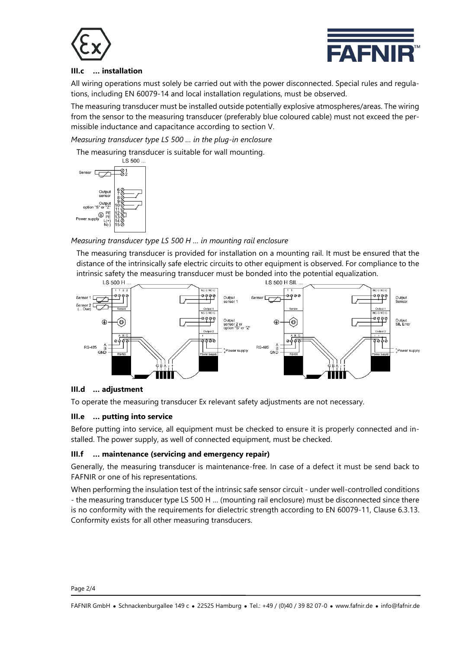



## **III.c … installation**

All wiring operations must solely be carried out with the power disconnected. Special rules and regulations, including EN 60079-14 and local installation regulations, must be observed.

The measuring transducer must be installed outside potentially explosive atmospheres/areas. The wiring from the sensor to the measuring transducer (preferably blue coloured cable) must not exceed the permissible inductance and capacitance according to section V.

*Measuring transducer type LS 500 … in the plug-in enclosure*

The measuring transducer is suitable for wall mounting.



*Measuring transducer type LS 500 H … in mounting rail enclosure*

The measuring transducer is provided for installation on a mounting rail. It must be ensured that the distance of the intrinsically safe electric circuits to other equipment is observed. For compliance to the intrinsic safety the measuring transducer must be bonded into the potential equalization.



## **III.d … adjustment**

To operate the measuring transducer Ex relevant safety adjustments are not necessary.

## **III.e … putting into service**

Before putting into service, all equipment must be checked to ensure it is properly connected and installed. The power supply, as well of connected equipment, must be checked.

## **III.f … maintenance (servicing and emergency repair)**

Generally, the measuring transducer is maintenance-free. In case of a defect it must be send back to FAFNIR or one of his representations.

When performing the insulation test of the intrinsic safe sensor circuit - under well-controlled conditions - the measuring transducer type LS 500 H … (mounting rail enclosure) must be disconnected since there is no conformity with the requirements for dielectric strength according to EN 60079-11, Clause 6.3.13. Conformity exists for all other measuring transducers.

Page 2/4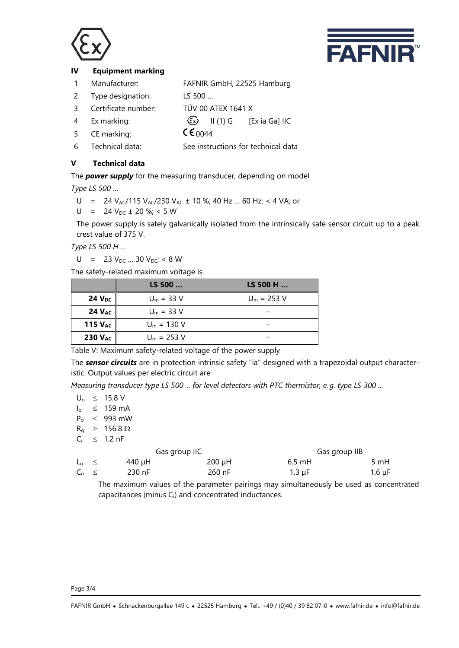



## **IV Equipment marking**

- 1 Manufacturer: FAFNIR GmbH, 22525 Hamburg
- 2 Type designation: LS 500 …
- 3 Certificate number: TÜV 00 ATEX 1641 X
- 4 Ex marking:  $\langle \overline{\xi_x} \rangle$  II (1) G [Ex ia Ga] IIC
- 5 CE marking:  $\sqrt{60044}$
- 6 Technical data: See instructions for technical data

# **V Technical data**

The *power supply* for the measuring transducer, depending on model

*Type LS 500 …*

U = 24  $V_{AC}/115 V_{AC}/230 V_{AC} \pm 10 \%$ ; 40 Hz ... 60 Hz; < 4 VA; or

 $U = 24 V_{DC} \pm 20 \%$ ; < 5 W

The power supply is safely galvanically isolated from the intrinsically safe sensor circuit up to a peak crest value of 375 V.

*Type LS 500 H …*

 $U = 23 V_{DC} ... 30 V_{DC}$ ; < 8 W

The safety-related maximum voltage is

|              | LS 500        | $LS$ 500 H $$ |
|--------------|---------------|---------------|
| 24 $V_{DC}$  | $U_m = 33 V$  | $U_m = 253 V$ |
| 24 $V_{AC}$  | $U_m = 33 V$  |               |
| 115 $V_{AC}$ | $U_m = 130 V$ |               |
| 230 $V_{AC}$ | $U_m = 253 V$ |               |

Table V: Maximum safety-related voltage of the power supply

The *sensor circuits* are in protection intrinsic safety "ia" designed with a trapezoidal output characteristic. Output values per electric circuit are

*Measuring transducer type LS 500 ... for level detectors with PTC thermistor, e. g. type LS 300 ...*

 $U_0 \leq 15.8 V$ 

 $I_0 \leq 159 \text{ mA}$ 

- $P_0 \leq 993$  mW
- $R_a \geq 156.8 \Omega$  $C_i \leq 1.2 \text{ nF}$

|                   | Gas group IIC |        | Gas group IIB |          |        |
|-------------------|---------------|--------|---------------|----------|--------|
| $L_0 \leq$        |               | 440 uH | 200 uH        | $6.5$ mH | 5 mH   |
| $C_{\alpha} \leq$ |               | 230 nF | 260 nF        | 1.3 uF   | 1.6 uF |

The maximum values of the parameter pairings may simultaneously be used as concentrated capacitances (minus  $C_i$ ) and concentrated inductances.